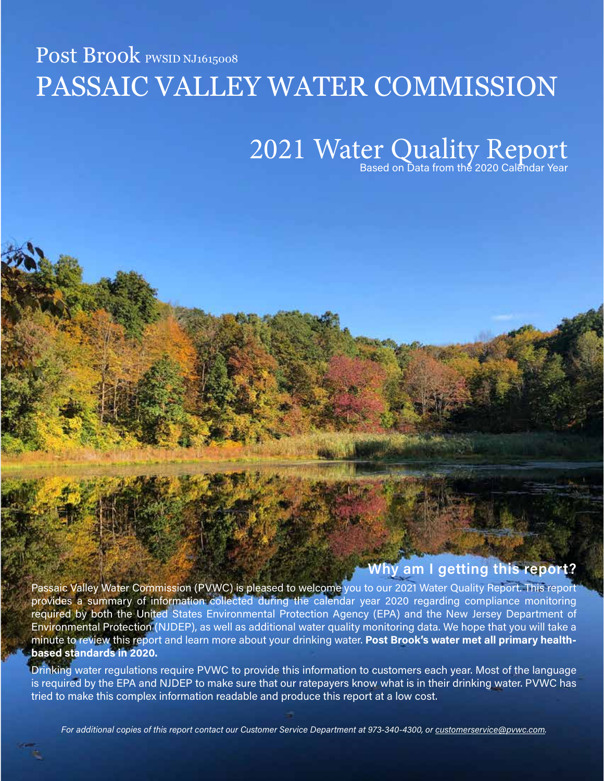# Post Brook PWSID NJ1615008 PASSAIC VALLEY WATER COMMISSION

# 2021 Water Quality Report

Why am I getting this report?

Passaic Valley Water Commission (PVWC) is pleased to welcome you to our 2021 Water Quality Report. This report provides a summary of information collected during the calendar year 2020 regarding compliance monitoring required by both the United States Environmental Protection Agency (EPA) and the New Jersey Department of Environmental Protection (NJDEP), as well as additional water quality monitoring data. We hope that you will take a minute to review this report and learn more about your drinking water. Post Brook's water met all primary healthbased standards in 2020.

Drinking water regulations require PVWC to provide this information to customers each year. Most of the language is required by the EPA and NJDEP to make sure that our ratepayers know what is in their drinking water. PVWC has tried to make this complex information readable and produce this report at a low cost.

For additional copies of this report contact our Customer Service Department at 973-340-4300, or [customerservice@pvwc.com.](mailto:customerservice@pvwc.com)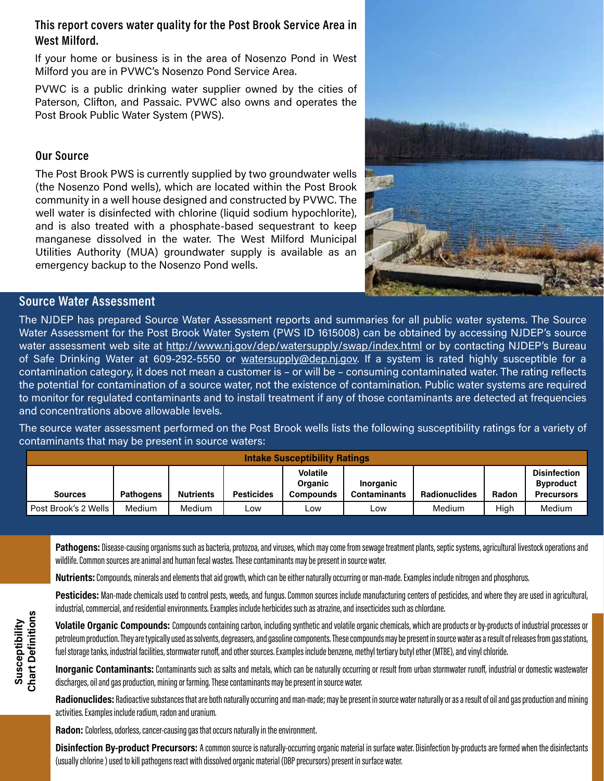### This report covers water quality for the Post Brook Service Area in West Milford.

If your home or business is in the area of Nosenzo Pond in West Milford you are in PVWC's Nosenzo Pond Service Area.

PVWC is a public drinking water supplier owned by the cities of Paterson, Clifton, and Passaic. PVWC also owns and operates the Post Brook Public Water System (PWS).

# Our Source

The Post Brook PWS is currently supplied by two groundwater wells (the Nosenzo Pond wells), which are located within the Post Brook community in a well house designed and constructed by PVWC. The well water is disinfected with chlorine (liquid sodium hypochlorite), and is also treated with a phosphate-based sequestrant to keep manganese dissolved in the water. The West Milford Municipal Utilities Authority (MUA) groundwater supply is available as an emergency backup to the Nosenzo Pond wells.



# Source Water Assessment

The NJDEP has prepared Source Water Assessment reports and summaries for all public water systems. The Source Water Assessment for the Post Brook Water System (PWS ID 1615008) can be obtained by accessing NJDEP's source water assessment web site at <http://www.nj.gov/dep/watersupply/swap/index.html> or by contacting NJDEP's Bureau of Safe Drinking Water at 609-292-5550 or [watersupply@dep.nj.gov.](mailto:watersupply@dep.nj.gov) If a system is rated highly susceptible for a contamination category, it does not mean a customer is – or will be – consuming contaminated water. The rating reflects the potential for contamination of a source water, not the existence of contamination. Public water systems are required to monitor for regulated contaminants and to install treatment if any of those contaminants are detected at frequencies and concentrations above allowable levels.

The source water assessment performed on the Post Brook wells lists the following susceptibility ratings for a variety of contaminants that may be present in source waters:

| <b>Intake Susceptibility Ratings</b> |                  |                  |                   |                                                |                                  |                      |       |                                                              |
|--------------------------------------|------------------|------------------|-------------------|------------------------------------------------|----------------------------------|----------------------|-------|--------------------------------------------------------------|
| <b>Sources</b>                       | <b>Pathogens</b> | <b>Nutrients</b> | <b>Pesticides</b> | <b>Volatile</b><br>Organic<br><b>Compounds</b> | Inorganic<br><b>Contaminants</b> | <b>Radionuclides</b> | Radon | <b>Disinfection</b><br><b>Byproduct</b><br><b>Precursors</b> |
| Post Brook's 2 Wells                 | Medium           | Medium           | Low               | LOW                                            | ∟ow                              | Medium               | High  | Medium                                                       |

Pathogens: Disease-causing organisms such as bacteria, protozoa, and viruses, which may come from sewage treatment plants, septic systems, agricultural livestock operations and wildlife. Common sources are animal and human fecal wastes. These contaminants may be present in source water.

Nutrients: Compounds, minerals and elements that aid growth, which can be either naturally occurring or man-made. Examples include nitrogen and phosphorus.

Pesticides: Man-made chemicals used to control pests, weeds, and fungus. Common sources include manufacturing centers of pesticides, and where they are used in agricultural, industrial, commercial, and residential environments. Examples include herbicides such as atrazine, and insecticides such as chlordane.

Volatile Organic Compounds: Compounds containing carbon, including synthetic and volatile organic chemicals, which are products or by-products of industrial processes or petroleum production. They are typically used as solvents, degreasers, and gasoline components. These compounds may be present in source water as a result of releases from gas stations, fuel storage tanks, industrial facilities, stormwater runoff, and other sources. Examples include benzene, methyl tertiary butyl ether (MTBE), and vinyl chloride.

Inorganic Contaminants: Contaminants such as salts and metals, which can be naturally occurring or result from urban stormwater runoff, industrial or domestic wastewater discharges, oil and gas production, mining or farming. These contaminants may be present in source water.

Radionuclides: Radioactive substances that are both naturally occurring and man-made; may be present in source water naturally or as a result of oil and gas production and mining activities. Examples include radium, radon and uranium.

Radon: Colorless, odorless, cancer-causing gas that occurs naturally in the environment.

Disinfection By-product Precursors: A common source is naturally-occurring organic material in surface water. Disinfection by-products are formed when the disinfectants (usually chlorine ) used to kill pathogens react with dissolved organic material (DBP precursors) present in surface water.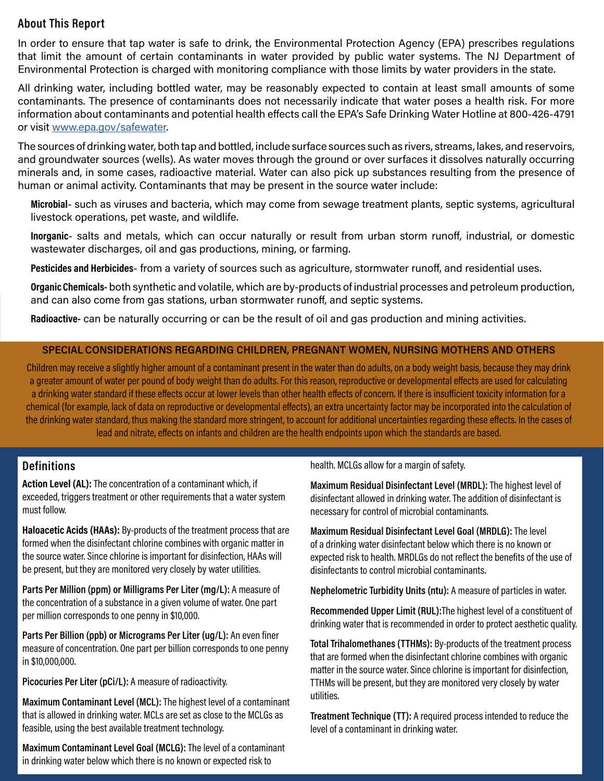#### About This Report

In order to ensure that tap water is safe to drink, the Environmental Protection Agency (EPA) prescribes regulations that limit the amount of certain contaminants in water provided by public water systems. The NJ Department of Environmental Protection is charged with monitoring compliance with those limits by water providers in the state.

All drinking water, including bottled water, may be reasonably expected to contain at least small amounts of some contaminants. The presence of contaminants does not necessarily indicate that water poses a health risk. For more information about contaminants and potential health effects call the EPA's Safe Drinking Water Hotline at 800-426-4791 or visit [www.epa.gov/safewater.](http://www.epa.gov/safewater)

The sources of drinking water, both tap and bottled, include surface sources such as rivers, streams, lakes, and reservoirs, and groundwater sources (wells). As water moves through the ground or over surfaces it dissolves naturally occurring minerals and, in some cases, radioactive material. Water can also pick up substances resulting from the presence of human or animal activity. Contaminants that may be present in the source water include:

Microbial- such as viruses and bacteria, which may come from sewage treatment plants, septic systems, agricultural livestock operations, pet waste, and wildlife.

Inorganic- salts and metals, which can occur naturally or result from urban storm runoff, industrial, or domestic wastewater discharges, oil and gas productions, mining, or farming.

Pesticides and Herbicides- from a variety of sources such as agriculture, stormwater runoff, and residential uses.

Organic Chemicals- both synthetic and volatile, which are by-products of industrial processes and petroleum production, and can also come from gas stations, urban stormwater runoff, and septic systems.

Radioactive- can be naturally occurring or can be the result of oil and gas production and mining activities.

#### SPECIAL CONSIDERATIONS REGARDING CHILDREN, PREGNANT WOMEN, NURSING MOTHERS AND OTHERS

Children may receive a slightly higher amount of a contaminant present in the water than do adults, on a body weight basis, because they may drink a greater amount of water per pound of body weight than do adults. For this reason, reproductive or developmental effects are used for calculating a drinking water standard if these effects occur at lower levels than other health effects of concern. If there is insufficient toxicity information for a chemical (for example, lack of data on reproductive or developmental effects), an extra uncertainty factor may be incorporated into the calculation of the drinking water standard, thus making the standard more stringent, to account for additional uncertainties regarding these effects. In the cases of lead and nitrate, effects on infants and children are the health endpoints upon which the standards are based.

#### **Definitions**

Action Level (AL): The concentration of a contaminant which, if exceeded, triggers treatment or other requirements that a water system must follow.

Haloacetic Acids (HAAs): By-products of the treatment process that are formed when the disinfectant chlorine combines with organic matter in the source water. Since chlorine is important for disinfection, HAAs will be present, but they are monitored very closely by water utilities.

Parts Per Million (ppm) or Milligrams Per Liter (mg/L): A measure of the concentration of a substance in a given volume of water. One part per million corresponds to one penny in \$10,000.

Parts Per Billion (ppb) or Micrograms Per Liter (ug/L): An even finer measure of concentration. One part per billion corresponds to one penny in \$10,000,000.

Picocuries Per Liter (pCi/L): A measure of radioactivity.

Maximum Contaminant Level (MCL): The highest level of a contaminant that is allowed in drinking water. MCLs are set as close to the MCLGs as feasible, using the best available treatment technology.

Maximum Contaminant Level Goal (MCLG): The level of a contaminant in drinking water below which there is no known or expected risk to

health. MCLGs allow for a margin of safety.

Maximum Residual Disinfectant Level (MRDL): The highest level of disinfectant allowed in drinking water. The addition of disinfectant is necessary for control of microbial contaminants.

Maximum Residual Disinfectant Level Goal (MRDLG): The level of a drinking water disinfectant below which there is no known or expected risk to health. MRDLGs do not reflect the benefits of the use of disinfectants to control microbial contaminants.

Nephelometric Turbidity Units (ntu): A measure of particles in water.

Recommended Upper Limit (RUL):The highest level of a constituent of drinking water that is recommended in order to protect aesthetic quality.

Total Trihalomethanes (TTHMs): By-products of the treatment process that are formed when the disinfectant chlorine combines with organic matter in the source water. Since chlorine is important for disinfection, TTHMs will be present, but they are monitored very closely by water utilities.

Treatment Technique (TT): A required process intended to reduce the level of a contaminant in drinking water.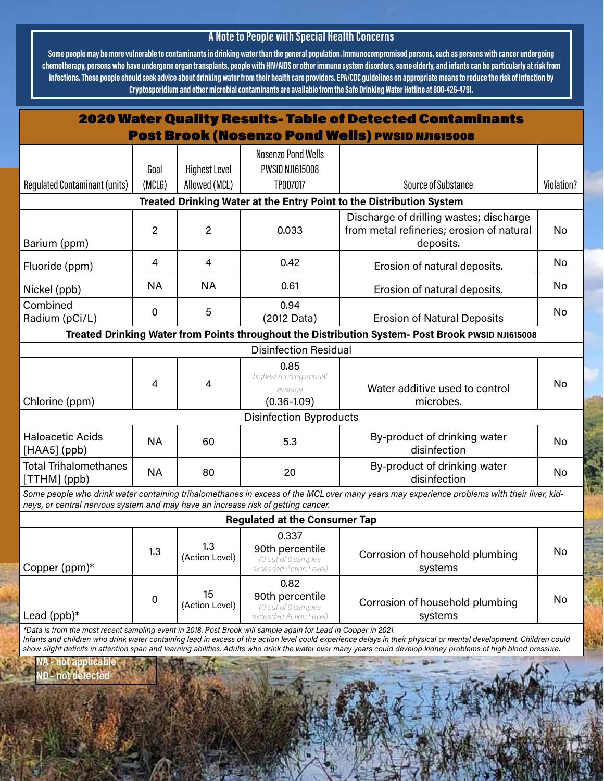# A Note to People with Special Health Concerns

Some people may be more vulnerable to contaminants in drinking water than the general population. Immunocompromised persons, such as persons with cancer undergoing chemotherapy, persons who have undergone organ transplants, people with HIV/AIDS or other immune system disorders, some elderly, and infants can be particularly at risk from infections. These people should seek advice about drinking water from their health care providers. EPA/CDC guidelines on appropriate means to reduce the risk of infection by Cryptosporidium and other microbial contaminants are available from the Safe Drinking Water Hotline at 800-426-4791.

| <b>2020 Water Quality Results- Table of Detected Contaminants</b>                                              |                |                       |                                                                           |                                                                                                                                                                          |            |  |
|----------------------------------------------------------------------------------------------------------------|----------------|-----------------------|---------------------------------------------------------------------------|--------------------------------------------------------------------------------------------------------------------------------------------------------------------------|------------|--|
| <b>Post Brook (Nosenzo Pond Wells) PWSID NJ1615008</b>                                                         |                |                       |                                                                           |                                                                                                                                                                          |            |  |
|                                                                                                                | Goal           | <b>Highest Level</b>  | <b>Nosenzo Pond Wells</b><br><b>PWSID NJ1615008</b>                       |                                                                                                                                                                          |            |  |
| <b>Regulated Contaminant (units)</b>                                                                           | (MCLG)         | Allowed (MCL)         | TP007017                                                                  | <b>Source of Substance</b>                                                                                                                                               | Violation? |  |
| Treated Drinking Water at the Entry Point to the Distribution System                                           |                |                       |                                                                           |                                                                                                                                                                          |            |  |
| Barium (ppm)                                                                                                   | $\overline{2}$ | $\overline{c}$        | 0.033                                                                     | Discharge of drilling wastes; discharge<br>from metal refineries; erosion of natural<br>deposits.                                                                        | No         |  |
| Fluoride (ppm)                                                                                                 | 4              | 4                     | 0.42                                                                      | Erosion of natural deposits.                                                                                                                                             | No         |  |
| Nickel (ppb)                                                                                                   | <b>NA</b>      | <b>NA</b>             | 0.61                                                                      | Erosion of natural deposits.                                                                                                                                             | No         |  |
| Combined<br>Radium (pCi/L)                                                                                     | 0              | 5                     | 0.94<br>(2012 Data)                                                       | <b>Erosion of Natural Deposits</b>                                                                                                                                       | No         |  |
| Treated Drinking Water from Points throughout the Distribution System- Post Brook PWSID NJ1615008              |                |                       |                                                                           |                                                                                                                                                                          |            |  |
|                                                                                                                |                |                       | <b>Disinfection Residual</b>                                              |                                                                                                                                                                          |            |  |
|                                                                                                                | 4              | 4                     | 0.85<br>highest running annual                                            | Water additive used to control                                                                                                                                           | No         |  |
| Chlorine (ppm)                                                                                                 |                |                       | average<br>$(0.36 - 1.09)$                                                | microbes.                                                                                                                                                                |            |  |
|                                                                                                                |                |                       | <b>Disinfection Byproducts</b>                                            |                                                                                                                                                                          |            |  |
| <b>Haloacetic Acids</b><br>$[HAA5]$ (ppb)                                                                      | <b>NA</b>      | 60                    | 5.3                                                                       | By-product of drinking water<br>disinfection                                                                                                                             | No         |  |
| <b>Total Trihalomethanes</b><br>[TTHM] (ppb)                                                                   | <b>NA</b>      | 80                    | 20                                                                        | By-product of drinking water<br>disinfection                                                                                                                             | No         |  |
| neys, or central nervous system and may have an increase risk of getting cancer.                               |                |                       |                                                                           | Some people who drink water containing trihalomethanes in excess of the MCL over many years may experience problems with their liver, kid-                               |            |  |
| <b>Regulated at the Consumer Tap</b>                                                                           |                |                       |                                                                           |                                                                                                                                                                          |            |  |
| Copper (ppm)*                                                                                                  | 1.3            | 1.3<br>(Action Level) | 0.337<br>90th percentile<br>(0 out of 8 samples<br>exceeded Action Level) | Corrosion of household plumbing<br>systems                                                                                                                               | No         |  |
| Lead (ppb)*                                                                                                    | 0              | 15<br>(Action Level)  | 0.82<br>90th percentile<br>(0 out of 8 samples<br>exceeded Action Level)  | Corrosion of household plumbing<br>systems                                                                                                                               | No         |  |
| *Data is from the most recent sampling event in 2018. Post Brook will sample again for Lead in Copper in 2021. |                |                       |                                                                           | Informational objective a dutate unique containing load in overces of the sotion lovel security counting delove in their physical or montal development. Objective pould |            |  |

Infants and children who drink water containing lead in excess of the action level could experience delays in their physical or mental development. Children could show slight deficits in attention span and learning abilities. Adults who drink the water over many years could develop kidney problems of high blood pressure.

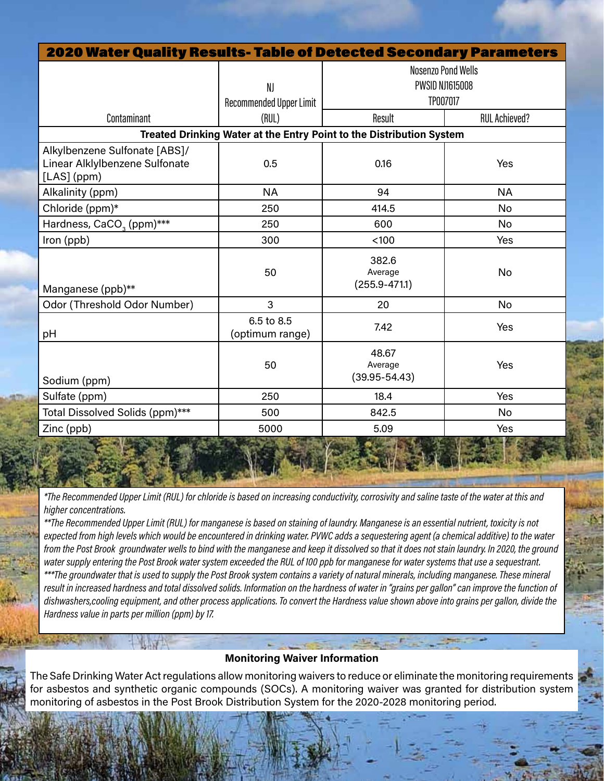| <b>2020 Water Quality Results- Table of Detected Secondary Parameters</b>      |                                                                      |                                       |                      |  |  |  |
|--------------------------------------------------------------------------------|----------------------------------------------------------------------|---------------------------------------|----------------------|--|--|--|
|                                                                                |                                                                      | <b>Nosenzo Pond Wells</b>             |                      |  |  |  |
|                                                                                | NJ                                                                   | <b>PWSID NJ1615008</b>                |                      |  |  |  |
|                                                                                | Recommended Upper Limit                                              | TP007017                              |                      |  |  |  |
| Contaminant                                                                    | (RUL)                                                                | Result                                | <b>RUL Achieved?</b> |  |  |  |
|                                                                                | Treated Drinking Water at the Entry Point to the Distribution System |                                       |                      |  |  |  |
| Alkylbenzene Sulfonate [ABS]/<br>Linear Alklylbenzene Sulfonate<br>[LAS] (ppm) | 0.5                                                                  | 0.16                                  | Yes                  |  |  |  |
| Alkalinity (ppm)                                                               | <b>NA</b>                                                            | 94                                    | <b>NA</b>            |  |  |  |
| Chloride (ppm)*                                                                | 250                                                                  | 414.5                                 | No                   |  |  |  |
| Hardness, CaCO <sub>3</sub> (ppm)***                                           | 250                                                                  | 600                                   | <b>No</b>            |  |  |  |
| Iron (ppb)                                                                     | 300                                                                  | < 100                                 | Yes                  |  |  |  |
| Manganese (ppb)**                                                              | 50                                                                   | 382.6<br>Average<br>$(255.9 - 471.1)$ | No                   |  |  |  |
| Odor (Threshold Odor Number)                                                   | 3                                                                    | 20                                    | No                   |  |  |  |
| pH                                                                             | 6.5 to 8.5<br>(optimum range)                                        | 7.42                                  | Yes                  |  |  |  |
| Sodium (ppm)                                                                   | 50                                                                   | 48.67<br>Average<br>$(39.95 - 54.43)$ | Yes                  |  |  |  |
| Sulfate (ppm)                                                                  | 250                                                                  | 18.4                                  | Yes                  |  |  |  |
| Total Dissolved Solids (ppm)***                                                | 500                                                                  | 842.5                                 | No                   |  |  |  |
| Zinc (ppb)<br><b>DEAM TELES</b>                                                | 5000                                                                 | 5.09                                  | Yes                  |  |  |  |

\*The Recommended Upper Limit (RUL) for chloride is based on increasing conductivity, corrosivity and saline taste of the water at this and higher concentrations.

\*\*The Recommended Upper Limit (RUL) for manganese is based on staining of laundry. Manganese is an essential nutrient, toxicity is not expected from high levels which would be encountered in drinking water. PVWC adds a sequestering agent (a chemical additive) to the water from the Post Brook groundwater wells to bind with the manganese and keep it dissolved so that it does not stain laundry. In 2020, the ground water supply entering the Post Brook water system exceeded the RUL of 100 ppb for manganese for water systems that use a sequestrant.

\*\*\*The groundwater that is used to supply the Post Brook system contains a variety of natural minerals, including manganese. These mineral result in increased hardness and total dissolved solids. Information on the hardness of water in "grains per gallon" can improve the function of dishwashers,cooling equipment, and other process applications. To convert the Hardness value shown above into grains per gallon, divide the Hardness value in parts per million (ppm) by 17.

### Monitoring Waiver Information

The Safe Drinking Water Act regulations allow monitoring waivers to reduce or eliminate the monitoring requirements for asbestos and synthetic organic compounds (SOCs). A monitoring waiver was granted for distribution system monitoring of asbestos in the Post Brook Distribution System for the 2020-2028 monitoring period.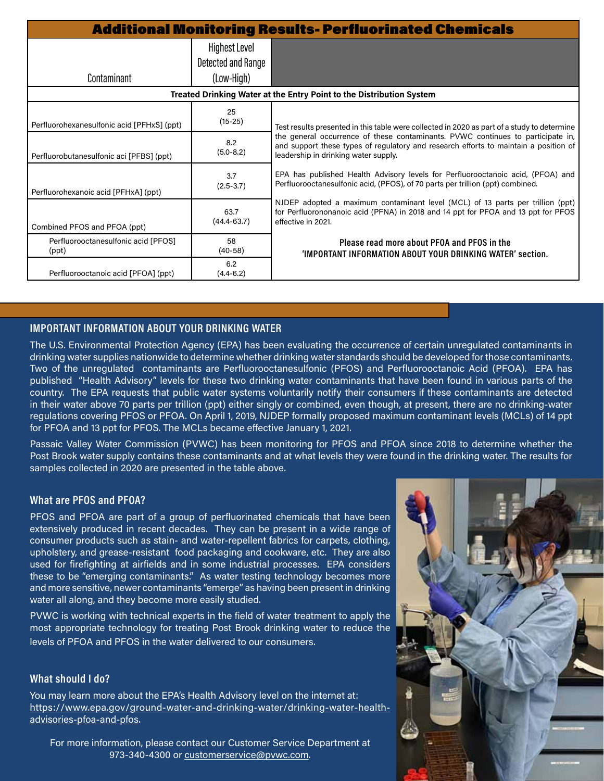| <b>Additional Monitoring Results- Perfluorinated Chemicals</b> |                                                          |                                                                                                                                                                                                                 |  |  |
|----------------------------------------------------------------|----------------------------------------------------------|-----------------------------------------------------------------------------------------------------------------------------------------------------------------------------------------------------------------|--|--|
| Contaminant                                                    | <b>Highest Level</b><br>Detected and Range<br>(Low-High) |                                                                                                                                                                                                                 |  |  |
|                                                                |                                                          | Treated Drinking Water at the Entry Point to the Distribution System                                                                                                                                            |  |  |
| Perfluorohexanesulfonic acid [PFHxS] (ppt)                     | 25<br>$(15-25)$                                          | Test results presented in this table were collected in 2020 as part of a study to determine                                                                                                                     |  |  |
| Perfluorobutanesulfonic aci [PFBS] (ppt)                       | 8.2<br>$(5.0 - 8.2)$                                     | the general occurrence of these contaminants. PVWC continues to participate in,<br>and support these types of regulatory and research efforts to maintain a position of<br>leadership in drinking water supply. |  |  |
| Perfluorohexanoic acid [PFHxA] (ppt)                           | 3.7<br>$(2.5 - 3.7)$                                     | EPA has published Health Advisory levels for Perfluorooctanoic acid, (PFOA) and<br>Perfluorooctanesulfonic acid, (PFOS), of 70 parts per trillion (ppt) combined.                                               |  |  |
| Combined PFOS and PFOA (ppt)                                   | 63.7<br>$(44.4 - 63.7)$                                  | NJDEP adopted a maximum contaminant level (MCL) of 13 parts per trillion (ppt)<br>for Perfluorononanoic acid (PFNA) in 2018 and 14 ppt for PFOA and 13 ppt for PFOS<br>effective in 2021.                       |  |  |
| Perfluorooctanesulfonic acid [PFOS]<br>(ppt)                   | 58<br>$(40-58)$                                          | Please read more about PFOA and PFOS in the<br>'IMPORTANT INFORMATION ABOUT YOUR DRINKING WATER' section.                                                                                                       |  |  |
| Perfluorooctanoic acid [PFOA] (ppt)                            | 6.2<br>$(4.4 - 6.2)$                                     |                                                                                                                                                                                                                 |  |  |

#### IMPORTANT INFORMATION ABOUT YOUR DRINKING WATER

The U.S. Environmental Protection Agency (EPA) has been evaluating the occurrence of certain unregulated contaminants in drinking water supplies nationwide to determine whether drinking water standards should be developed for those contaminants. Two of the unregulated contaminants are Perfluorooctanesulfonic (PFOS) and Perfluorooctanoic Acid (PFOA). EPA has published "Health Advisory" levels for these two drinking water contaminants that have been found in various parts of the country. The EPA requests that public water systems voluntarily notify their consumers if these contaminants are detected in their water above 70 parts per trillion (ppt) either singly or combined, even though, at present, there are no drinking-water regulations covering PFOS or PFOA. On April 1, 2019, NJDEP formally proposed maximum contaminant levels (MCLs) of 14 ppt for PFOA and 13 ppt for PFOS. The MCLs became effective January 1, 2021.

Passaic Valley Water Commission (PVWC) has been monitoring for PFOS and PFOA since 2018 to determine whether the Post Brook water supply contains these contaminants and at what levels they were found in the drinking water. The results for samples collected in 2020 are presented in the table above.

#### What are PFOS and PFOA?

PFOS and PFOA are part of a group of perfluorinated chemicals that have been extensively produced in recent decades. They can be present in a wide range of consumer products such as stain- and water-repellent fabrics for carpets, clothing, upholstery, and grease-resistant food packaging and cookware, etc. They are also used for firefighting at airfields and in some industrial processes. EPA considers these to be "emerging contaminants." As water testing technology becomes more and more sensitive, newer contaminants "emerge" as having been present in drinking water all along, and they become more easily studied.

PVWC is working with technical experts in the field of water treatment to apply the most appropriate technology for treating Post Brook drinking water to reduce the levels of PFOA and PFOS in the water delivered to our consumers.

#### What should I do?

You may learn more about the EPA's Health Advisory level on the internet at: [https://www.epa.gov/ground-water-and-drinking-water/drinking-water-health](https://www.epa.gov/ground-water-and-drinking-water/drinking-water-health-advisories-pfoa-and-pfos)[advisories-pfoa-and-pfos.](https://www.epa.gov/ground-water-and-drinking-water/drinking-water-health-advisories-pfoa-and-pfos)

For more information, please contact our Customer Service Department at 973-340-4300 or [customerservice@pvwc.com](mailto:customerservice@pvwc.com).

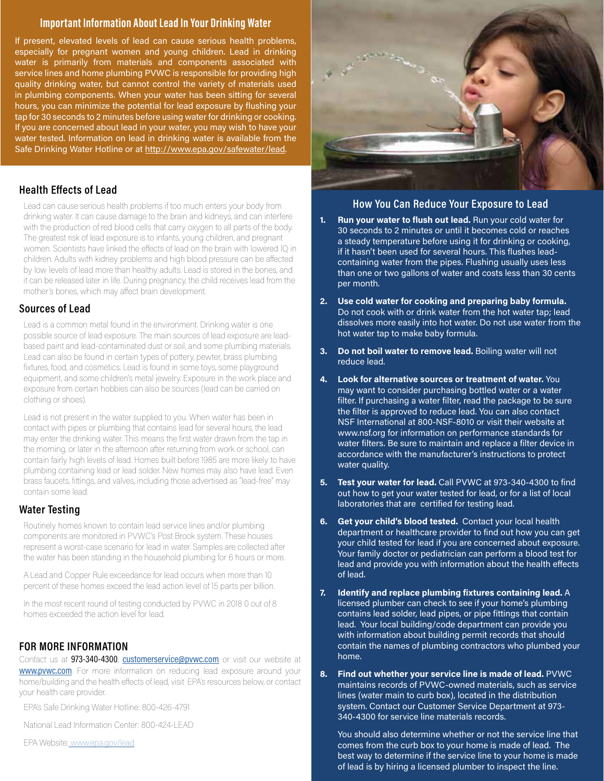#### Important Information About Lead In Your Drinking Water

If present, elevated levels of lead can cause serious health problems, especially for pregnant women and young children. Lead in drinking water is primarily from materials and components associated with service lines and home plumbing PVWC is responsible for providing high quality drinking water, but cannot control the variety of materials used in plumbing components. When your water has been sitting for several hours, you can minimize the potential for lead exposure by flushing your tap for 30 seconds to 2 minutes before using water for drinking or cooking. If you are concerned about lead in your water, you may wish to have your water tested. Information on lead in drinking water is available from the Safe Drinking Water Hotline or at<http://www.epa.gov/safewater/lead>.

#### Health Effects of Lead

Lead can cause serious health problems if too much enters your body from drinking water. It can cause damage to the brain and kidneys, and can interfere with the production of red blood cells that carry oxygen to all parts of the body. The greatest risk of lead exposure is to infants, young children, and pregnant women. Scientists have linked the effects of lead on the brain with lowered IQ in children. Adults with kidney problems and high blood pressure can be affected by low levels of lead more than healthy adults. Lead is stored in the bones, and it can be released later in life. During pregnancy, the child receives lead from the mother's bones, which may affect brain development.

#### Sources of Lead

Lead is a common metal found in the environment. Drinking water is one possible source of lead exposure. The main sources of lead exposure are leadbased paint and lead-contaminated dust or soil, and some plumbing materials. Lead can also be found in certain types of pottery, pewter, brass plumbing fixtures, food, and cosmetics. Lead is found in some toys, some playground equipment, and some children's metal jewelry. Exposure in the work place and exposure from certain hobbies can also be sources (lead can be carried on clothing or shoes).

Lead is not present in the water supplied to you. When water has been in contact with pipes or plumbing that contains lead for several hours, the lead may enter the drinking water. This means the first water drawn from the tap in the morning, or later in the afternoon after returning from work or school, can contain fairly high levels of lead. Homes built before 1985 are more likely to have plumbing containing lead or lead solder. New homes may also have lead. Even brass faucets, fittings, and valves, including those advertised as "lead-free" may contain some lead.

#### Water Testing

Routinely homes known to contain lead service lines and/or plumbing components are monitored in PVWC's Post Brook system. These houses represent a worst-case scenario for lead in water. Samples are collected after the water has been standing in the household plumbing for 6 hours or more.

A Lead and Copper Rule exceedance for lead occurs when more than 10 percent of these homes exceed the lead action level of 15 parts per billion.

In the most recent round of testing conducted by PVWC in 2018 0 out of 8 homes exceeded the action level for lead.

#### FOR MORE INFORMATION

Contact us at 973-340-4300, [customerservice@pvwc.com](mailto:customerservice@pvwc.com) or visit our website at **[www.pvwc.com](http://www.pvwc.com)**. For more information on reducing lead exposure around your home/building and the health effects of lead, visit EPA's resources below, or contact your health care provider.

EPA's Safe Drinking Water Hotline: 800-426-4791

National Lead Information Center: 800-424-LEAD

EPA Website: [www.epa.gov/lead](http:// www.epa.gov/lead)



#### How You Can Reduce Your Exposure to Lead

- 1. Run your water to flush out lead. Run your cold water for 30 seconds to 2 minutes or until it becomes cold or reaches a steady temperature before using it for drinking or cooking, if it hasn't been used for several hours. This flushes leadcontaining water from the pipes. Flushing usually uses less than one or two gallons of water and costs less than 30 cents per month.
- 2. Use cold water for cooking and preparing baby formula. Do not cook with or drink water from the hot water tap; lead dissolves more easily into hot water. Do not use water from the hot water tap to make baby formula.
- 3. Do not boil water to remove lead. Boiling water will not reduce lead.
- 4. Look for alternative sources or treatment of water. You may want to consider purchasing bottled water or a water filter. If purchasing a water filter, read the package to be sure the filter is approved to reduce lead. You can also contact NSF International at 800-NSF-8010 or visit their website at www.nsf.org for information on performance standards for water filters. Be sure to maintain and replace a filter device in accordance with the manufacturer's instructions to protect water quality.
- 5. Test your water for lead. Call PVWC at 973-340-4300 to find out how to get your water tested for lead, or for a list of local laboratories that are certified for testing lead.
- 6. Get your child's blood tested. Contact your local health department or healthcare provider to find out how you can get your child tested for lead if you are concerned about exposure. Your family doctor or pediatrician can perform a blood test for lead and provide you with information about the health effects of lead.
- 7. Identify and replace plumbing fixtures containing lead. A licensed plumber can check to see if your home's plumbing contains lead solder, lead pipes, or pipe fittings that contain lead. Your local building/code department can provide you with information about building permit records that should contain the names of plumbing contractors who plumbed your home.
- 8. Find out whether your service line is made of lead. PVWC maintains records of PVWC-owned materials, such as service lines (water main to curb box), located in the distribution system. Contact our Customer Service Department at 973- 340-4300 for service line materials records.

You should also determine whether or not the service line that comes from the curb box to your home is made of lead. The best way to determine if the service line to your home is made of lead is by hiring a licensed plumber to inspect the line.